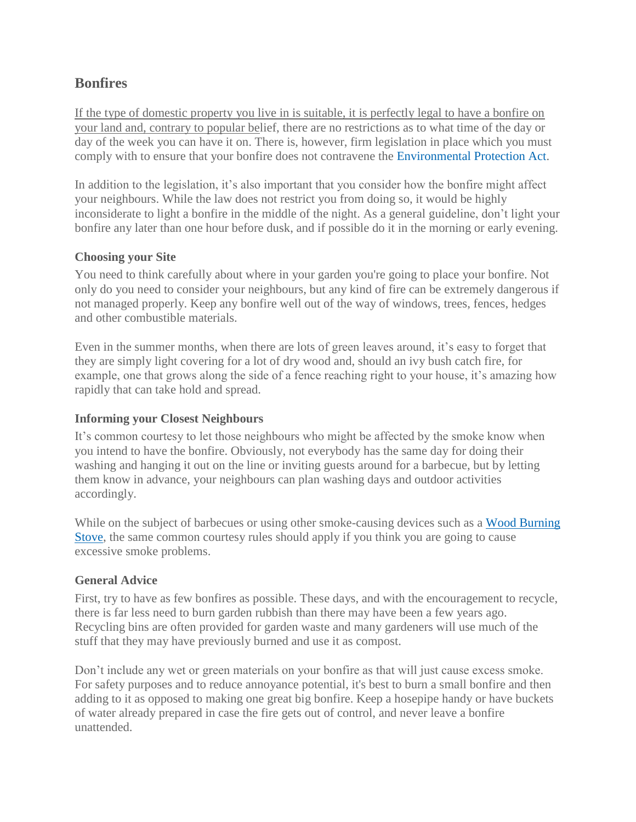# **Bonfires**

If the type of domestic property you live in is suitable, it is perfectly legal to have a bonfire on your land and, contrary to popular belief, there are no restrictions as to what time of the day or day of the week you can have it on. There is, however, firm legislation in place which you must comply with to ensure that your bonfire does not contravene the [Environmental Protection Act.](http://www.problemneighbours.co.uk/your-rights-under-environmental-act.html)

In addition to the legislation, it's also important that you consider how the bonfire might affect your neighbours. While the law does not restrict you from doing so, it would be highly inconsiderate to light a bonfire in the middle of the night. As a general guideline, don't light your bonfire any later than one hour before dusk, and if possible do it in the morning or early evening.

#### **Choosing your Site**

You need to think carefully about where in your garden you're going to place your bonfire. Not only do you need to consider your neighbours, but any kind of fire can be extremely dangerous if not managed properly. Keep any bonfire well out of the way of windows, trees, fences, hedges and other combustible materials.

Even in the summer months, when there are lots of green leaves around, it's easy to forget that they are simply light covering for a lot of dry wood and, should an ivy bush catch fire, for example, one that grows along the side of a fence reaching right to your house, it's amazing how rapidly that can take hold and spread.

### **Informing your Closest Neighbours**

It's common courtesy to let those neighbours who might be affected by the smoke know when you intend to have the bonfire. Obviously, not everybody has the same day for doing their washing and hanging it out on the line or inviting guests around for a barbecue, but by letting them know in advance, your neighbours can plan washing days and outdoor activities accordingly.

While on the subject of barbecues or using other smoke-causing devices such as a Wood Burning [Stove,](http://www.problemneighbours.co.uk/wood-burning-stove-can-neighbour-object.html) the same common courtesy rules should apply if you think you are going to cause excessive smoke problems.

### **General Advice**

First, try to have as few bonfires as possible. These days, and with the encouragement to recycle, there is far less need to burn garden rubbish than there may have been a few years ago. Recycling bins are often provided for garden waste and many gardeners will use much of the stuff that they may have previously burned and use it as compost.

Don't include any wet or green materials on your bonfire as that will just cause excess smoke. For safety purposes and to reduce annoyance potential, it's best to burn a small bonfire and then adding to it as opposed to making one great big bonfire. Keep a hosepipe handy or have buckets of water already prepared in case the fire gets out of control, and never leave a bonfire unattended.